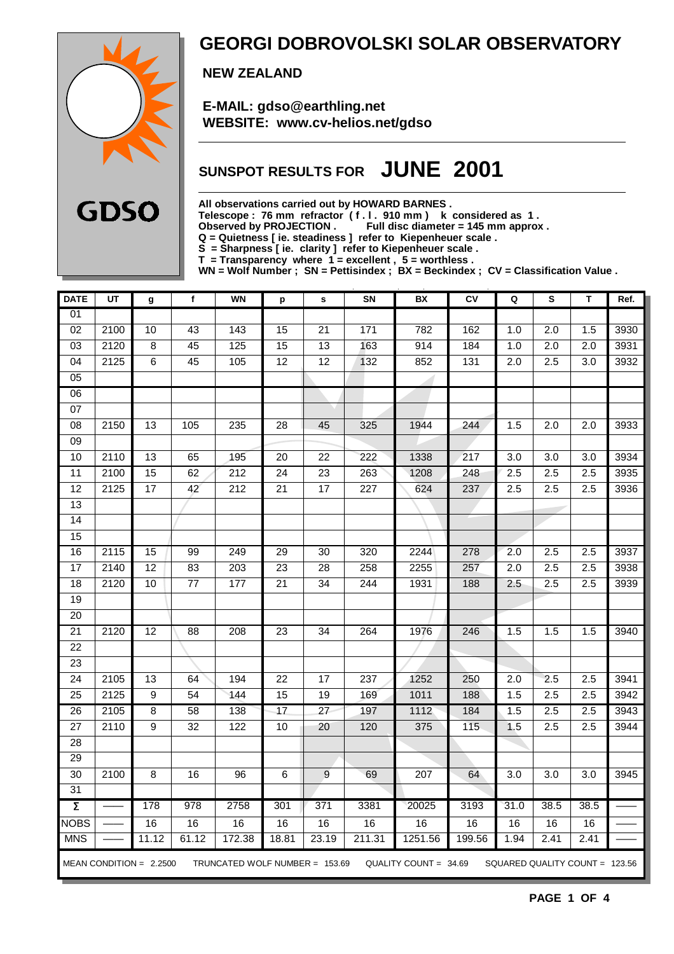

## **GEORGI DOBROVOLSKI SOLAR OBSERVATORY**

 **NEW ZEALAND**

 **E-MAIL: gdso@earthling.net WEBSITE: www.cv-helios.net/gdso**

## **SUNSPOT RESULTS FOR JUNE 2001**

**All observations carried out by HOWARD BARNES .**

**Telescope : 76 mm refractor ( f . l . 910 mm ) k considered as 1 .**

Observed by PROJECTION . Full disc diameter = 145 mm approx .

**Q = Quietness [ ie. steadiness ] refer to Kiepenheuer scale .**

**S = Sharpness [ ie. clarity ] refer to Kiepenheuer scale .**

**T = Transparency where 1 = excellent , 5 = worthless .**

**WN = Wolf Number ; SN = Pettisindex ; BX = Beckindex ; CV = Classification Value .**

| <b>DATE</b>         | UT   | g                         | f                 | <b>WN</b>                      | p               | s               | SN               | BX                    | CV     | Q                | s                              | T                | Ref. |
|---------------------|------|---------------------------|-------------------|--------------------------------|-----------------|-----------------|------------------|-----------------------|--------|------------------|--------------------------------|------------------|------|
| $\overline{01}$     |      |                           |                   |                                |                 |                 |                  |                       |        |                  |                                |                  |      |
| $\overline{02}$     | 2100 | 10                        | 43                | 143                            | $\overline{15}$ | $\overline{21}$ | $171$            | 782                   | 162    | 1.0              | $\overline{2.0}$               | 1.5              | 3930 |
| 03                  | 2120 | 8                         | 45                | 125                            | 15              | 13              | 163              | 914                   | 184    | 1.0              | 2.0                            | 2.0              | 3931 |
| 04                  | 2125 | $\overline{6}$            | 45                | 105                            | $\overline{12}$ | $\overline{12}$ | 132              | 852                   | 131    | 2.0              | 2.5                            | 3.0              | 3932 |
| $\overline{05}$     |      |                           |                   |                                |                 |                 |                  |                       |        |                  |                                |                  |      |
| 06                  |      |                           |                   |                                |                 |                 |                  |                       |        |                  |                                |                  |      |
| 07                  |      |                           |                   |                                |                 |                 |                  |                       |        |                  |                                |                  |      |
| 08                  | 2150 | $\overline{13}$           | $\frac{105}{105}$ | 235                            | $\overline{28}$ | 45              | 325              | 1944                  | 244    | 1.5              | $\overline{2.0}$               | $\overline{2.0}$ | 3933 |
| $\overline{09}$     |      |                           |                   |                                |                 |                 |                  |                       |        |                  |                                |                  |      |
| 10                  | 2110 | 13                        | 65                | 195                            | $\overline{20}$ | $\overline{22}$ | 222              | 1338                  | 217    | $\overline{3.0}$ | $\overline{3.0}$               | $\overline{3.0}$ | 3934 |
| 11                  | 2100 | 15                        | 62                | $\overline{212}$               | $\overline{24}$ | $\overline{23}$ | 263              | 1208                  | 248    | 2.5              | 2.5                            | $\overline{2.5}$ | 3935 |
| $\overline{12}$     | 2125 | $\overline{17}$           | 42                | $\overline{212}$               | $\overline{21}$ | $\overline{17}$ | $\overline{227}$ | 624                   | 237    | 2.5              | 2.5                            | 2.5              | 3936 |
| $\overline{13}$     |      |                           |                   |                                |                 |                 |                  |                       |        |                  |                                |                  |      |
| 14                  |      |                           |                   |                                |                 |                 |                  |                       |        |                  |                                |                  |      |
| $\overline{15}$     |      |                           |                   |                                |                 |                 |                  |                       |        |                  |                                |                  |      |
| 16                  | 2115 | 15                        | 99                | 249                            | $\overline{29}$ | $\overline{30}$ | 320              | 2244                  | 278    | $\overline{2.0}$ | 2.5                            | 2.5              | 3937 |
| $\overline{17}$     | 2140 | $\overline{12}$           | 83                | $\overline{203}$               | $\overline{23}$ | $\overline{28}$ | 258              | 2255                  | 257    | $\overline{2.0}$ | 2.5                            | 2.5              | 3938 |
| $\overline{18}$     | 2120 | 10                        | $\overline{77}$   | 177                            | $\overline{21}$ | $\overline{34}$ | 244              | 1931                  | 188    | 2.5              | 2.5                            | 2.5              | 3939 |
| 19                  |      |                           |                   |                                |                 |                 |                  |                       |        |                  |                                |                  |      |
| 20                  |      |                           |                   |                                |                 |                 |                  |                       |        |                  |                                |                  |      |
| 21                  | 2120 | 12                        | 88                | 208                            | 23              | 34              | 264              | 1976                  | 246    | 1.5              | 1.5                            | 1.5              | 3940 |
| $\overline{22}$     |      |                           |                   |                                |                 |                 |                  |                       |        |                  |                                |                  |      |
| $\overline{23}$     |      |                           |                   |                                |                 |                 |                  |                       |        |                  |                                |                  |      |
| $\overline{24}$     | 2105 | $\overline{13}$           | 64                | 194                            | 22              | $\overline{17}$ | 237              | 1252                  | 250    | $\overline{2.0}$ | 2.5                            | 2.5              | 3941 |
| 25                  | 2125 | $\boldsymbol{9}$          | 54                | 144                            | 15              | 19              | 169              | 1011                  | 188    | 1.5              | 2.5                            | 2.5              | 3942 |
| 26                  | 2105 | $\overline{8}$            | 58                | 138                            | $\overline{17}$ | $\overline{27}$ | 197              | 1112                  | 184    | 1.5              | 2.5                            | 2.5              | 3943 |
| $\overline{27}$     | 2110 | 9                         | $\overline{32}$   | 122                            | 10              | 20              | 120              | 375                   | 115    | 1.5              | 2.5                            | 2.5              | 3944 |
| 28                  |      |                           |                   |                                |                 |                 |                  |                       |        |                  |                                |                  |      |
| $\overline{29}$     |      |                           |                   |                                |                 |                 |                  |                       |        |                  |                                |                  |      |
| $\overline{30}$     | 2100 | $\overline{8}$            | $\overline{16}$   | $\overline{96}$                | $\,6$           | $\overline{9}$  | 69               | 207                   | 64     | $\overline{3.0}$ | $\overline{3.0}$               | $\overline{3.0}$ | 3945 |
| 31                  |      |                           |                   |                                |                 |                 |                  |                       |        |                  |                                |                  |      |
| $\overline{\Sigma}$ |      | 178                       | 978               | 2758                           | 301             | 371             | 3381             | 20025                 | 3193   | 31.0             | 38.5                           | 38.5             |      |
| <b>NOBS</b>         |      | 16                        | 16                | 16                             | 16              | 16              | 16               | 16                    | 16     | 16               | 16                             | 16               |      |
| <b>MNS</b>          |      | 11.12                     | 61.12             | 172.38                         | 18.81           | 23.19           | 211.31           | 1251.56               | 199.56 | 1.94             | 2.41                           | 2.41             |      |
|                     |      | MEAN CONDITION = $2.2500$ |                   | TRUNCATED WOLF NUMBER = 153.69 |                 |                 |                  | QUALITY COUNT = 34.69 |        |                  | SQUARED QUALITY COUNT = 123.56 |                  |      |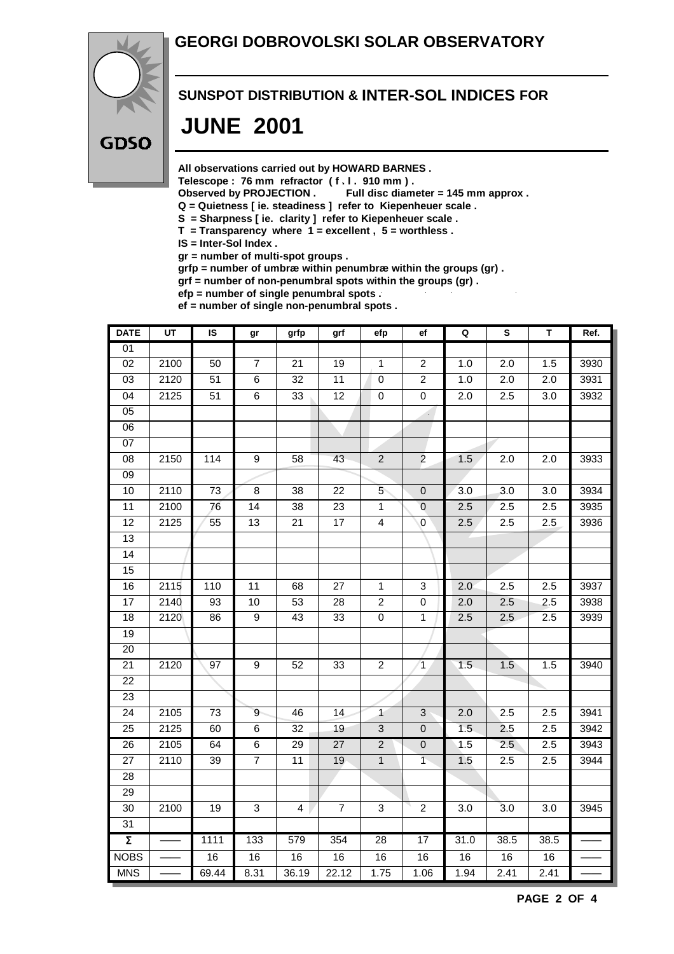### **GEORGI DOBROVOLSKI SOLAR OBSERVATORY**



#### **SUNSPOT DISTRIBUTION & INTER-SOL INDICES FOR**

## **JUNE 2001**

**All observations carried out by HOWARD BARNES .**

Telescope : 76 mm refractor (f. l. 910 mm).<br>Observed by PROJECTION . Full disc diam

Full disc diameter = 145 mm approx .

- **Q = Quietness [ ie. steadiness ] refer to Kiepenheuer scale .**
- **S = Sharpness [ ie. clarity ] refer to Kiepenheuer scale .**
- **T = Transparency where 1 = excellent , 5 = worthless .**

**IS = Inter-Sol Index .**

**gr = number of multi-spot groups .**

**grfp = number of umbræ within penumbræ within the groups (gr) .**

**grf = number of non-penumbral spots within the groups (gr) .**

**efp = number of single penumbral spots .**

**ef = number of single non-penumbral spots .**

| <b>DATE</b>         | $\overline{UT}$ | $\overline{\mathsf{s}}$ | gr              | grfp                    | grf             | efp             | ef                          | Q                | $\overline{\mathbf{s}}$ | $\overline{\mathsf{T}}$ | Ref. |
|---------------------|-----------------|-------------------------|-----------------|-------------------------|-----------------|-----------------|-----------------------------|------------------|-------------------------|-------------------------|------|
| 01                  |                 |                         |                 |                         |                 |                 |                             |                  |                         |                         |      |
| $\overline{02}$     | 2100            | 50                      | $\overline{7}$  | 21                      | 19              | 1               | $\sqrt{2}$                  | 1.0              | 2.0                     | 1.5                     | 3930 |
| $\overline{03}$     | 2120            | 51                      | $\overline{6}$  | $\overline{32}$         | $\overline{11}$ | $\pmb{0}$       | $\overline{2}$              | 1.0              | $\overline{2.0}$        | $\overline{2.0}$        | 3931 |
| $\overline{04}$     | 2125            | 51                      | $\overline{6}$  | 33                      | 12              | $\overline{0}$  | $\overline{0}$              | $\overline{2.0}$ | 2.5                     | $\overline{3.0}$        | 3932 |
| 05                  |                 |                         |                 |                         |                 |                 | $\mathcal{L}_{\mathcal{A}}$ |                  |                         |                         |      |
| 06                  |                 |                         |                 |                         |                 |                 |                             |                  |                         |                         |      |
| $\overline{07}$     |                 |                         |                 |                         |                 |                 |                             |                  |                         |                         |      |
| $\overline{08}$     | 2150            | 114                     | $\overline{9}$  | 58                      | $\overline{43}$ | $\overline{2}$  | $\overline{2}$              | 1.5              | 2.0                     | 2.0                     | 3933 |
| $\overline{09}$     |                 |                         |                 |                         |                 |                 |                             |                  |                         |                         |      |
| 10                  | 2110            | 73                      | 8               | 38                      | 22              | 5               | $\mathbf 0$                 | 3.0              | $\overline{3.0}$        | 3.0                     | 3934 |
| 11                  | 2100            | 76                      | $\overline{14}$ | $\overline{38}$         | $\overline{23}$ | $\overline{1}$  | $\overline{0}$              | 2.5              | 2.5                     | 2.5                     | 3935 |
| $\overline{12}$     | 2125            | $\overline{55}$         | $\overline{13}$ | $\overline{21}$         | 17              | $\overline{4}$  | $\overline{0}$              | 2.5              | 2.5                     | $\overline{2.5}$        | 3936 |
| 13                  |                 |                         |                 |                         |                 |                 |                             |                  |                         |                         |      |
| 14                  |                 |                         |                 |                         |                 |                 |                             |                  |                         |                         |      |
| 15                  |                 |                         |                 |                         |                 |                 |                             |                  |                         |                         |      |
| 16                  | 2115            | 110                     | 11              | 68                      | 27              | $\overline{1}$  | $\sqrt{3}$                  | 2.0              | 2.5                     | 2.5                     | 3937 |
| 17                  | 2140            | 93                      | 10              | 53                      | 28              | $\overline{c}$  | $\pmb{0}$                   | 2.0              | 2.5                     | 2.5                     | 3938 |
| $\overline{18}$     | 2120            | $\overline{86}$         | $\overline{9}$  | $\overline{43}$         | $\overline{33}$ | $\overline{0}$  | 1                           | 2.5              | 2.5                     | 2.5                     | 3939 |
| 19                  |                 |                         |                 |                         |                 |                 |                             |                  |                         |                         |      |
| 20                  |                 |                         |                 |                         |                 |                 |                             |                  |                         |                         |      |
| $\overline{21}$     | 2120            | $\overline{97}$         | $\overline{9}$  | 52                      | 33              | $\overline{2}$  | $\overline{1}$              | 1.5              | 1.5                     | 1.5                     | 3940 |
| 22                  |                 |                         |                 |                         |                 |                 |                             |                  |                         |                         |      |
| 23                  |                 |                         |                 |                         |                 |                 |                             |                  |                         |                         |      |
| $\overline{24}$     | 2105            | 73                      | $\overline{9}$  | 46                      | $\overline{14}$ | $\overline{1}$  | $\mathbf{3}$                | 2.0              | 2.5                     | 2.5                     | 3941 |
| $\overline{25}$     | 2125            | 60                      | 6               | 32                      | 19              | 3               | $\mathbf 0$                 | 1.5              | 2.5                     | 2.5                     | 3942 |
| 26                  | 2105            | 64                      | $\overline{6}$  | 29                      | $\overline{27}$ | $\overline{2}$  | $\pmb{0}$                   | 1.5              | 2.5                     | 2.5                     | 3943 |
| $\overline{27}$     | 2110            | $\overline{39}$         | $\overline{7}$  | $\overline{11}$         | 19              | $\overline{1}$  | $\overline{1}$              | 1.5              | 2.5                     | 2.5                     | 3944 |
| $\overline{28}$     |                 |                         |                 |                         |                 |                 |                             |                  |                         |                         |      |
| 29                  |                 |                         |                 |                         |                 |                 |                             |                  |                         |                         |      |
| 30                  | 2100            | 19                      | 3               | $\overline{\mathbf{4}}$ | $\overline{7}$  | 3               | $\overline{2}$              | 3.0              | $\overline{3.0}$        | 3.0                     | 3945 |
| 31                  |                 |                         |                 |                         |                 |                 |                             |                  |                         |                         |      |
| $\overline{\Sigma}$ |                 | 1111                    | 133             | 579                     | 354             | $\overline{28}$ | 17                          | 31.0             | 38.5                    | 38.5                    |      |
| <b>NOBS</b>         |                 | 16                      | 16              | 16                      | 16              | 16              | 16                          | 16               | 16                      | 16                      |      |
| <b>MNS</b>          |                 | 69.44                   | 8.31            | 36.19                   | 22.12           | 1.75            | 1.06                        | 1.94             | 2.41                    | 2.41                    |      |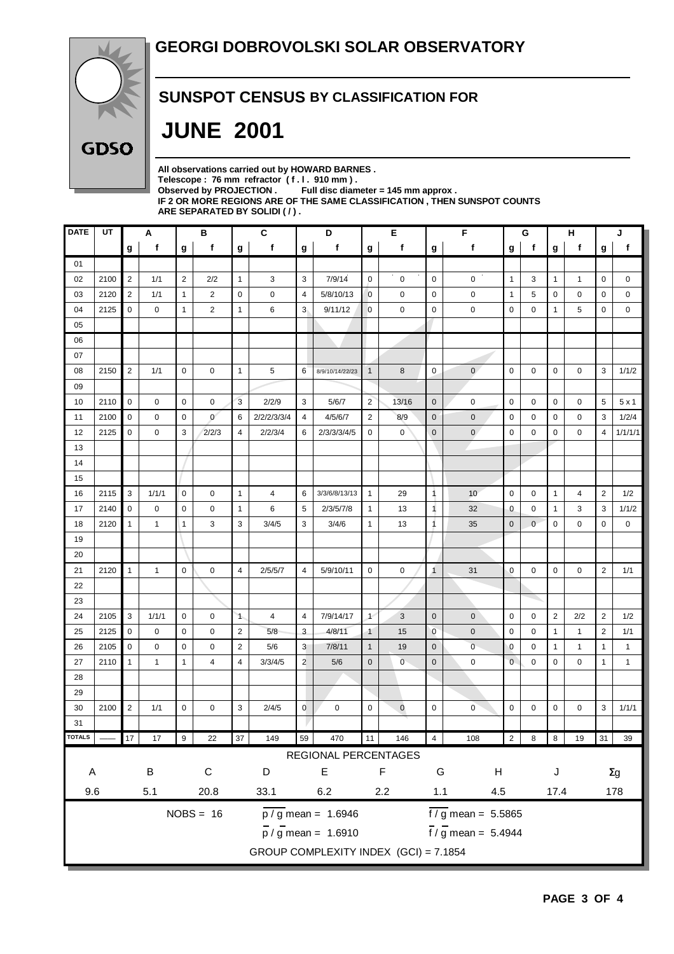

### **SUNSPOT CENSUS BY CLASSIFICATION FOR**

# **JUNE 2001**

| All observations carried out by HOWARD BARNES.                            |
|---------------------------------------------------------------------------|
| Telescope: 76 mm refractor (f.l. 910 mm).                                 |
| Observed by PROJECTION $\,$ Full disc diameter = 145 mm approx .          |
| IF 2 OR MORE REGIONS ARE OF THE SAME CLASSIFICATION . THEN SUNSPOT COUNTS |
| ARE SEPARATED BY SOLIDI ( /).                                             |
|                                                                           |

| <b>DATE</b>                                                                                                | UT                                    |                | Α           |                | в              |                | C              | D                         |                      | Е                    |                | F              |              | G              |             | н               |              | J              |              |
|------------------------------------------------------------------------------------------------------------|---------------------------------------|----------------|-------------|----------------|----------------|----------------|----------------|---------------------------|----------------------|----------------------|----------------|----------------|--------------|----------------|-------------|-----------------|--------------|----------------|--------------|
|                                                                                                            |                                       | g              | $\mathbf f$ | g              | f              | g              | $\mathbf f$    | g                         | $\mathbf f$          | g                    | $\mathbf f$    | g              | f            | g              | $\mathbf f$ | g               | $\mathbf f$  | g              | f            |
| 01                                                                                                         |                                       |                |             |                |                |                |                |                           |                      |                      |                |                |              |                |             |                 |              |                |              |
| 02                                                                                                         | 2100                                  | $\overline{2}$ | 1/1         | $\overline{2}$ | 2/2            | $\mathbf{1}$   | 3              | 3                         | 7/9/14               | $\mathbf 0$          | $\mathbf 0$    | $\mathbf 0$    | 0            | $\mathbf{1}$   | 3           | $\mathbf{1}$    | $\mathbf{1}$ | $\mathbf 0$    | 0            |
| 03                                                                                                         | 2120                                  | 2              | 1/1         | $\mathbf{1}$   | $\overline{2}$ | $\mathbf 0$    | 0              | $\overline{4}$            | 5/8/10/13            | $\mathbf 0$          | $\pmb{0}$      | $\mathbf 0$    | 0            | $\mathbf{1}$   | 5           | 0               | $\mathbf 0$  | $\mathbf 0$    | 0            |
| 04                                                                                                         | 2125                                  | $\mathbf 0$    | 0           | $\mathbf{1}$   | $\overline{2}$ | $\mathbf{1}$   | 6              | 3                         | 9/11/12              | $\mathbf 0$          | $\mathbf 0$    | $\mathbf 0$    | 0            | $\mathbf 0$    | 0           | $\mathbf{1}$    | 5            | $\mathbf 0$    | 0            |
| 05                                                                                                         |                                       |                |             |                |                |                |                |                           |                      |                      |                |                |              |                |             |                 |              |                |              |
| 06                                                                                                         |                                       |                |             |                |                |                |                |                           |                      |                      |                |                |              |                |             |                 |              |                |              |
| 07                                                                                                         |                                       |                |             |                |                |                |                |                           |                      |                      |                |                |              |                |             |                 |              |                |              |
| 08                                                                                                         | 2150                                  | 2              | 1/1         | $\mathbf 0$    | 0              | $\mathbf{1}$   | 5              | 6                         | 8/9/10/14/22/23      | $\mathbf{1}$         | 8              | $\mathbf 0$    | $\mathbf{0}$ | $\mathbf 0$    | 0           | 0               | 0            | 3              | 1/1/2        |
| 09                                                                                                         |                                       |                |             |                |                |                |                |                           |                      |                      |                |                |              |                |             |                 |              |                |              |
| 10                                                                                                         | 2110                                  | $\mathbf 0$    | $\mathbf 0$ | $\mathbf 0$    | $\mathbf 0$    | 3              | 2/2/9          | 3                         | 5/6/7                | $\overline{2}$       | 13/16          | $\mathbf 0$    | $\mathbf 0$  | $\mathbf 0$    | $\mathbf 0$ | 0               | 0            | 5              | 5x1          |
| 11                                                                                                         | 2100                                  | $\mathbf 0$    | 0           | $\mathbf 0$    | $\mathbf{0}$   | 6              | 2/2/2/3/3/4    | 4                         | 4/5/6/7              | 2                    | 8/9            | $\mathbf 0$    | $\mathbf 0$  | $\mathbf 0$    | 0           | 0               | $\mathbf 0$  | 3              | 1/2/4        |
| 12                                                                                                         | 2125                                  | $\pmb{0}$      | 0           | 3              | 2/2/3          | 4              | 2/2/3/4        | 6                         | 2/3/3/3/4/5          | $\mathbf 0$          | $\mathbf 0$    | $\mathbf 0$    | $\mathbf{0}$ | $\mathbf 0$    | 0           | 0               | $\mathbf 0$  | $\overline{4}$ | 1/1/1/1      |
| 13                                                                                                         |                                       |                |             |                |                |                |                |                           |                      |                      |                |                |              |                |             |                 |              |                |              |
| 14                                                                                                         |                                       |                |             |                |                |                |                |                           |                      |                      |                |                |              |                |             |                 |              |                |              |
| 15                                                                                                         |                                       |                |             |                |                |                |                |                           |                      |                      |                |                |              |                |             |                 |              |                |              |
| 16                                                                                                         | 2115                                  | 3              | 1/1/1       | $\mathbf 0$    | 0              | $\mathbf{1}$   | $\overline{4}$ | 6                         | 3/3/6/8/13/13        | $\mathbf{1}$         | 29             | 1              | 10           | $\mathbf 0$    | 0           | 1               | 4            | $\overline{2}$ | 1/2          |
| 17                                                                                                         | 2140                                  | $\mathbf 0$    | 0           | $\mathbf 0$    | 0              | $\mathbf{1}$   | 6              | 5                         | 2/3/5/7/8            | $\mathbf{1}$         | 13             | 1              | 32           | $\mathbf 0$    | 0           | $\mathbf{1}$    | 3            | 3              | 1/1/2        |
| 18                                                                                                         | 2120                                  | $\mathbf{1}$   | 1           | $\mathbf{1}$   | 3              | 3              | 3/4/5          | 3                         | 3/4/6                | $\mathbf{1}$         | 13             | 1              | 35           | $\mathbf{0}$   | $\mathbf 0$ | $\mathbf 0$     | 0            | $\mathbf 0$    | 0            |
| 19                                                                                                         |                                       |                |             |                |                |                |                |                           |                      |                      |                |                |              |                |             |                 |              |                |              |
| 20                                                                                                         |                                       |                |             |                |                |                |                |                           |                      |                      |                |                |              |                |             |                 |              |                |              |
| 21                                                                                                         | 2120                                  | $\mathbf{1}$   | 1           | $\mathbf 0$    | $\mathbf 0$    | $\overline{4}$ | 2/5/5/7        | $\overline{4}$            | 5/9/10/11            | $\mathbf 0$          | 0              | 1              | 31           | $\mathbf{0}$   | 0           | $\mathbf 0$     | $\mathbf 0$  | $\overline{2}$ | 1/1          |
| 22                                                                                                         |                                       |                |             |                |                |                |                |                           |                      |                      |                |                |              |                |             |                 |              |                |              |
| 23                                                                                                         |                                       |                |             |                |                |                |                |                           |                      |                      |                |                |              |                |             |                 |              |                |              |
| 24                                                                                                         | 2105                                  | 3              | 1/1/1       | $\mathbf 0$    | 0              | $\mathbf{1}$   | 4              | 4                         | 7/9/14/17            | $\overline{1}$       | 3              | $\mathbf 0$    | $\mathbf 0$  | $\mathbf 0$    | 0           | $\overline{2}$  | 2/2          | $\overline{2}$ | 1/2          |
| 25                                                                                                         | 2125                                  | $\pmb{0}$      | 0           | $\mathbf 0$    | 0              | $\sqrt{2}$     | 5/8            | $\ensuremath{\mathsf{3}}$ | 4/8/11               | $\ddot{\phantom{1}}$ | 15             | $\overline{0}$ | $\mathbf 0$  | $\mathbf 0$    | $\mathbf 0$ | $\mathbf{1}$    | $\mathbf{1}$ | $\overline{2}$ | 1/1          |
| 26                                                                                                         | 2105                                  | $\mathbf 0$    | 0           | $\mathbf 0$    | 0              | $\overline{2}$ | 5/6            | 3                         | 7/8/11               | $\mathbf{1}$         | 19             | $\mathbf 0$    | $\mathbf 0$  | $\mathbf 0$    | 0           | 1               | $\mathbf{1}$ | $\mathbf{1}$   | $\mathbf{1}$ |
| 27                                                                                                         | 2110                                  | $\mathbf{1}$   | 1           | $\mathbf{1}$   | 4              | $\overline{4}$ | 3/3/4/5        | $\overline{2}$            | 5/6                  | $\mathbf{0}$         | $\overline{0}$ | $\overline{0}$ | $\mathbf 0$  | $\mathbf 0$    | 0           | 0               | $\pmb{0}$    | $\mathbf{1}$   | $\mathbf{1}$ |
| 28                                                                                                         |                                       |                |             |                |                |                |                |                           |                      |                      |                |                |              |                |             |                 |              |                |              |
| 29                                                                                                         |                                       |                |             |                |                |                |                |                           |                      |                      |                |                |              |                |             |                 |              |                |              |
| 30                                                                                                         | 2100                                  | $\overline{2}$ | 1/1         | $\mathbf 0$    | 0              | 3              | 2/4/5          | $\mathbf 0$               | 0                    | 0                    | $\mathbf 0$    | $\mathbf 0$    | $\mathbf 0$  | $\mathbf 0$    | 0           | 0               | 0            | 3              | 1/1/1        |
| 31                                                                                                         |                                       |                |             |                |                |                |                |                           |                      |                      |                |                |              |                |             |                 |              |                |              |
| <b>OTALS</b>                                                                                               |                                       | 17             | 17          | 9              | 22             | 37             | 149            | 59                        | 470                  | 11                   | 146            | 4              | 108          | $\overline{2}$ | 8           | $\vert 8 \vert$ | 19           |                | 31 39        |
|                                                                                                            |                                       |                |             |                |                |                |                |                           | REGIONAL PERCENTAGES |                      |                |                |              |                |             |                 |              |                |              |
| A                                                                                                          |                                       |                | $\sf B$     |                | $\mathsf C$    |                | D              |                           | $\mathsf E$          |                      | F              | G              | H            |                |             | J               |              |                | $\Sigma g$   |
| 9.6<br>20.8<br>5.1                                                                                         |                                       |                | 33.1        | $6.2\,$<br>2.2 |                |                |                | 1.1<br>4.5                |                      |                      |                | 17.4           |              | 178            |             |                 |              |                |              |
| $NOBS = 16$<br>$\frac{1}{p}$ / g mean = 1.6946                                                             |                                       |                |             |                |                |                |                |                           |                      |                      |                |                |              |                |             |                 |              |                |              |
| $\frac{1}{\sqrt{9}}$ mean = 5.5865<br>$\frac{1}{\pi}$ / g mean = 5.4944<br>$\frac{1}{p}$ / g mean = 1.6910 |                                       |                |             |                |                |                |                |                           |                      |                      |                |                |              |                |             |                 |              |                |              |
|                                                                                                            |                                       |                |             |                |                |                |                |                           |                      |                      |                |                |              |                |             |                 |              |                |              |
|                                                                                                            | GROUP COMPLEXITY INDEX (GCI) = 7.1854 |                |             |                |                |                |                |                           |                      |                      |                |                |              |                |             |                 |              |                |              |